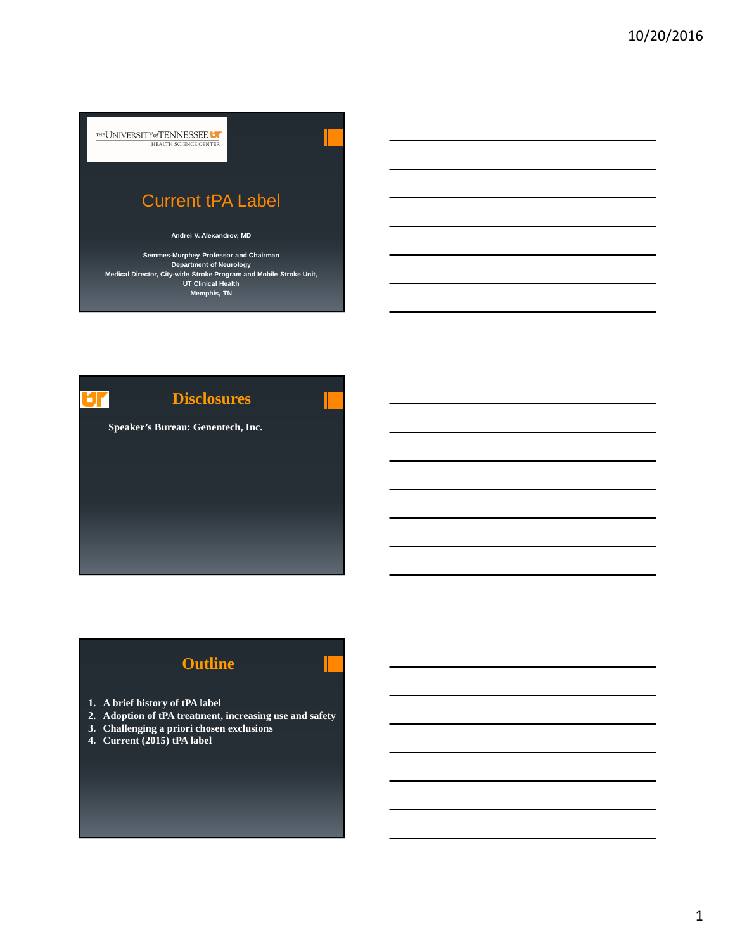

**Department of Neurology Medical Director, City-wide Stroke Program and Mobile Stroke Unit, UT Clinical Health Memphis, TN**

**Disclosures** Иr **Speaker's Bureau: Genentech, Inc.**

# **Outline**

- **1. A brief history of tPA label**
- **2. Adoption of tPA treatment, increasing use and safety**
- **3. Challenging a priori chosen exclusions**
- **4. Current (2015) tPA label**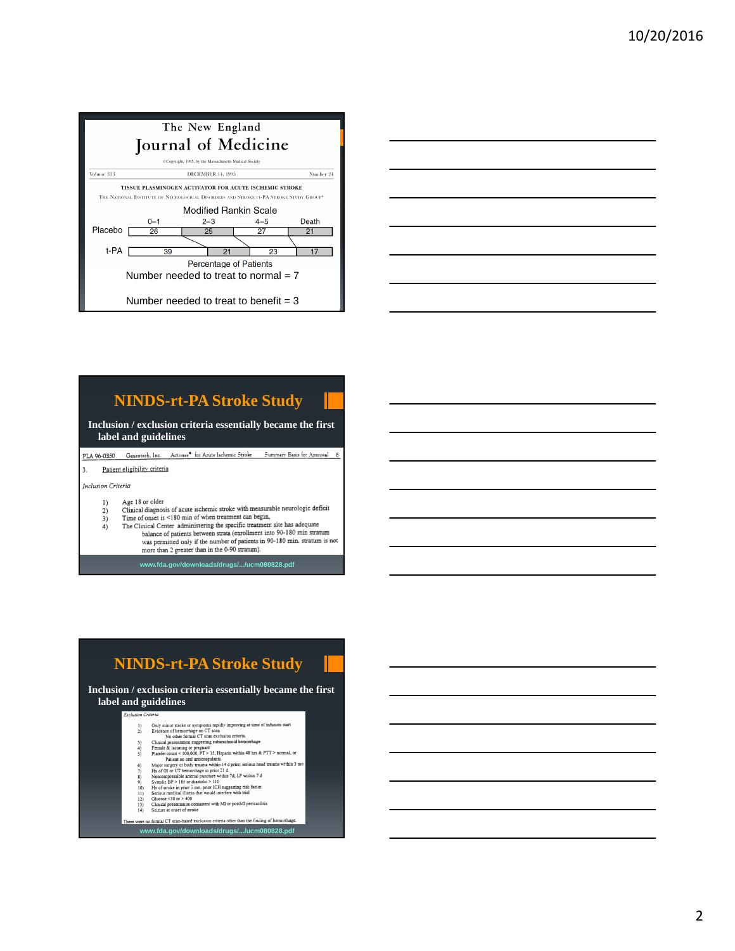| The New England<br>Journal of Medicine                                                                                                                                          |         |                          |         |           |  |  |  |
|---------------------------------------------------------------------------------------------------------------------------------------------------------------------------------|---------|--------------------------|---------|-----------|--|--|--|
| @Copyright, 1995, by the Massachusetts Medical Society                                                                                                                          |         |                          |         |           |  |  |  |
| Volume 333                                                                                                                                                                      |         | <b>DECEMBER 14, 1995</b> |         | Number 24 |  |  |  |
| TISSUE PLASMINOGEN ACTIVATOR FOR ACUTE ISCHEMIC STROKE<br>THE NATIONAL INSTITUTE OF NEUROLOGICAL DISORDERS AND STROKE IT-PA STROKE STUDY GROUP*<br><b>Modified Rankin Scale</b> |         |                          |         |           |  |  |  |
|                                                                                                                                                                                 | $0 - 1$ | $2 - 3$                  | $4 - 5$ | Death     |  |  |  |
| Placebo                                                                                                                                                                         | 26      | 25                       | 27      | 21        |  |  |  |
|                                                                                                                                                                                 |         |                          |         |           |  |  |  |
| t-PA                                                                                                                                                                            | 39      | 21                       | 23      | 17        |  |  |  |
| <b>Percentage of Patients</b>                                                                                                                                                   |         |                          |         |           |  |  |  |
| Number needed to treat to normal $= 7$                                                                                                                                          |         |                          |         |           |  |  |  |
| Number needed to treat to benefit $=$ 3                                                                                                                                         |         |                          |         |           |  |  |  |



# **NINDS-rt-PA Stroke Study**

**Inclusion / exclusion criteria essentially became the first label and guidelines**

PLA 96-0350 Genentech, Inc. Activase<sup>6</sup> for Acute Ischemic Stroke Summary Basis for Approval 8

Patient eligibility criteria

Inclusion Criteria

- $1)$
- Age 18 or older<br>Clinical diagnosis of acute ischemic stroke with measurable neurologic deficit<br>Clinical diagnosis of acute structure than health  $2)$ Time of onset is <180 min of when treatment can begin,
- 3)<br>4) The Clinical Center administering the specific treatment site has adequate<br>balance of patients between strata (enrollment into 90-180 min stratum
	- was permitted only if the number of patients in 90-180 min. stratum is not<br>more than 2 greater than in the 0-90 stratum). **www.fda.gov/downloads/drugs/.../ucm080828.pdf**

**NINDS-rt-PA Stroke Study**

**Inclusion / exclusion criteria essentially became the first label and guidelines**

- 
- 
- 
- 
- Planelet count <br/> $<$ 100.000, PP > 15, Heparin within 48 hrs & PTT > normal, or Magis rare<br/>ery to ody regume within 14 driver, serious head trauma within 5 mo<br/> $\rm He\ acc$  rare or or mate the properties of GI or UT h
- $6$ ) 7) 8) 9) 10) 11) 12) 13) 14)
- 
- 

Ther

- 
- 
- **www.fda.gov/downloads/drugs/.../ucm080828.pdf**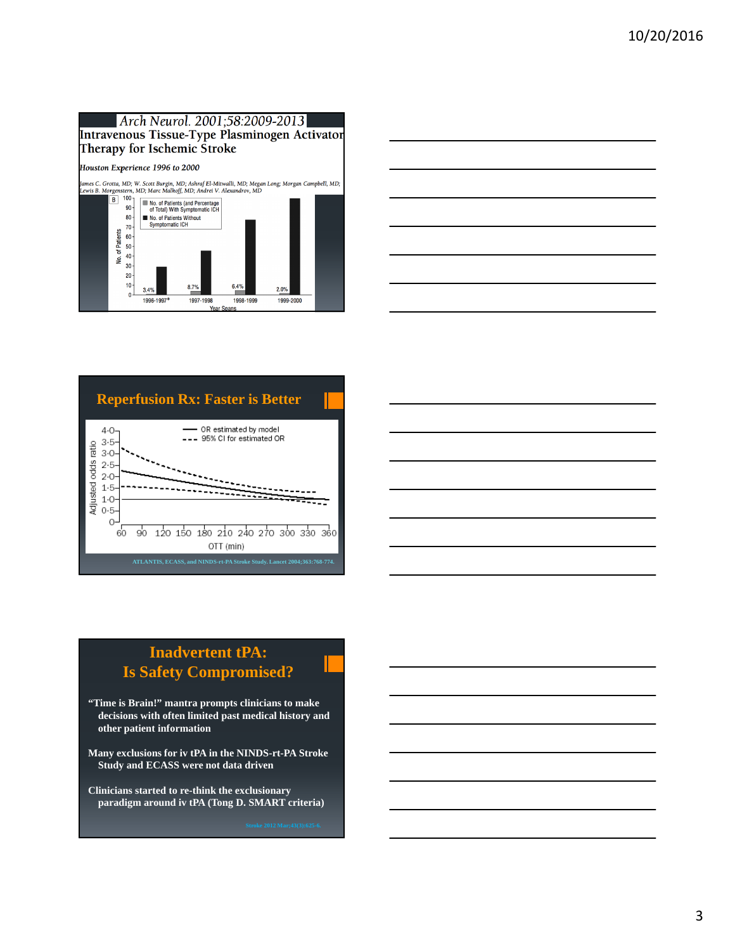#### Arch Neurol. 2001;58:2009-2013 Intravenous Tissue-Type Plasminogen Activator Therapy for Ischemic Stroke Houston Experience 1996 to 2000 James C. Grotta, MD; W. Scott Burgin, MD; Ashraf El-Mitwalli, MD; Megan Long; Morgan Campbell, MD;<br>Lewis B. Morgenstern, MD; Marc Malkoff, MD; Andrei V. Alexandrov, MD<br> $\boxed{8}$ <sup>100</sup>]  $\boxed{=}$  No. of Patients (and Percentage) No. of Patients (and Percentage<br>of Total) With Symptomatic ICH 90  $80 -$ ■ No. of Patients Without<br>Symptomatic ICH  $70$ No. of Patients  $60 \frac{1}{2}$  50  $\frac{1}{40}$  $30 20 10$ 6.4%  $8.7%$  $2.0%$  $3.4%$  $\overline{\mathbf{0}}$ 1996-1997\* 1997-1998 1998-1999 1999-2000 Snans





# **Inadvertent tPA: Is Safety Compromised?**

- **"Time is Brain!" mantra prompts clinicians to make decisions with often limited past medical history and other patient information**
- **Many exclusions for iv tPA in the NINDS-rt-PA Stroke Study and ECASS were not data driven**
- **Clinicians started to re-think the exclusionary paradigm around iv tPA (Tong D. SMART criteria)**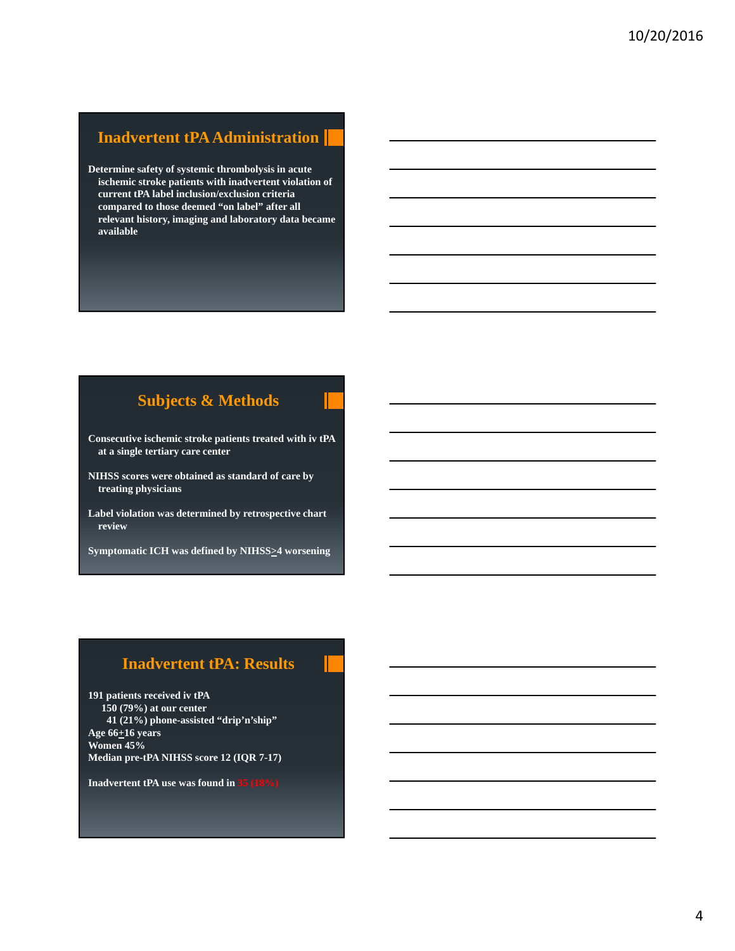#### **Inadvertent tPA Administration**

**Determine safety of systemic thrombolysis in acute ischemic stroke patients with inadvertent violation of current tPA label inclusion/exclusion criteria compared to those deemed "on label" after all relevant history, imaging and laboratory data became available**

#### **Subjects & Methods**

- **Consecutive ischemic stroke patients treated with iv tPA at a single tertiary care center**
- **NIHSS scores were obtained as standard of care by treating physicians**
- **Label violation was determined by retrospective chart review**
- **Symptomatic ICH was defined by NIHSS>4 worsening**

#### **Inadvertent tPA: Results**

**191 patients received iv tPA 150 (79%) at our center 41 (21%) phone-assisted "drip'n'ship" Age 66+16 years Women 45% Median pre-tPA NIHSS score 12 (IQR 7-17)**

**Inadvertent tPA use was found in 35 (18%)**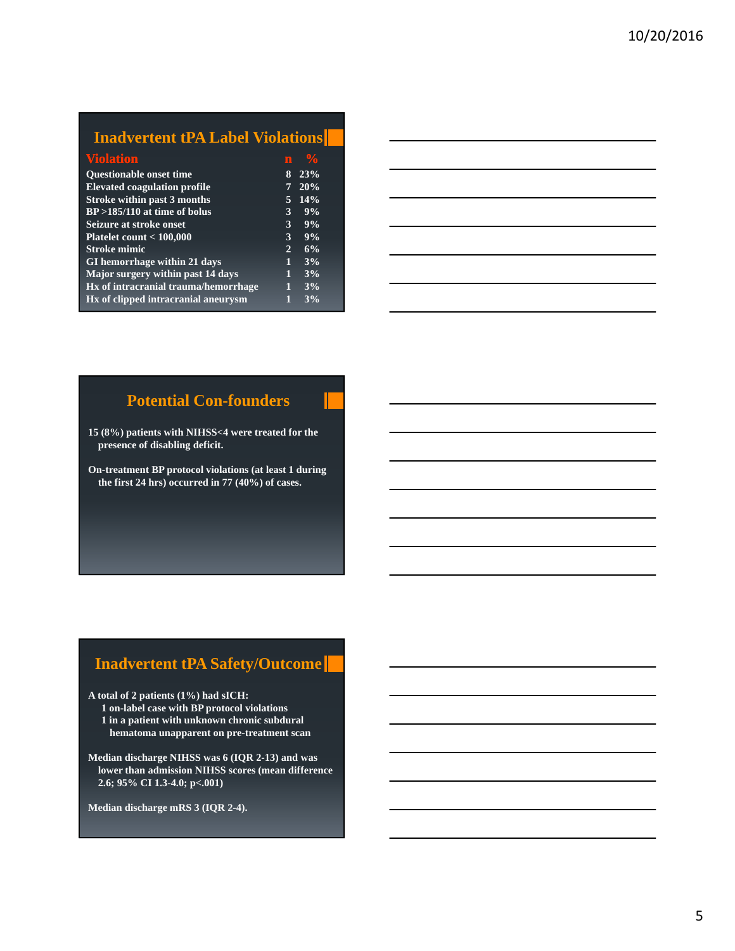## **Inadvertent tPA Label Violations**

| <b>Violation</b>                     | m              |       |  |
|--------------------------------------|----------------|-------|--|
| <b>Ouestionable onset time</b>       | 8              | 23%   |  |
| <b>Elevated coagulation profile</b>  | 7              | 20%   |  |
| <b>Stroke within past 3 months</b>   | 5              | 14%   |  |
| $BP > 185/110$ at time of bolus      | 3              | 9%    |  |
| Seizure at stroke onset              | 3              | 9%    |  |
| Platelet count $<$ 100,000           | 3              | $9\%$ |  |
| <b>Stroke mimic</b>                  | $\overline{2}$ | 6%    |  |
| GI hemorrhage within 21 days         | i              | 3%    |  |
| Major surgery within past 14 days    | Ī              | 3%    |  |
| Hx of intracranial trauma/hemorrhage | П              | 3%    |  |
| Hx of clipped intracranial aneurysm  |                | 3%    |  |

## **Potential Con-founders**

**15 (8%) patients with NIHSS<4 were treated for the presence of disabling deficit.**

**On-treatment BP protocol violations (at least 1 during the first 24 hrs) occurred in 77 (40%) of cases.**

#### **Inadvertent tPA Safety/Outcome**

**A total of 2 patients (1%) had sICH:**

- **1 on-label case with BP protocol violations 1 in a patient with unknown chronic subdural hematoma unapparent on pre-treatment scan**
- **Median discharge NIHSS was 6 (IQR 2-13) and was lower than admission NIHSS scores (mean difference 2.6; 95% CI 1.3-4.0; p<.001)**

**Median discharge mRS 3 (IQR 2-4).**